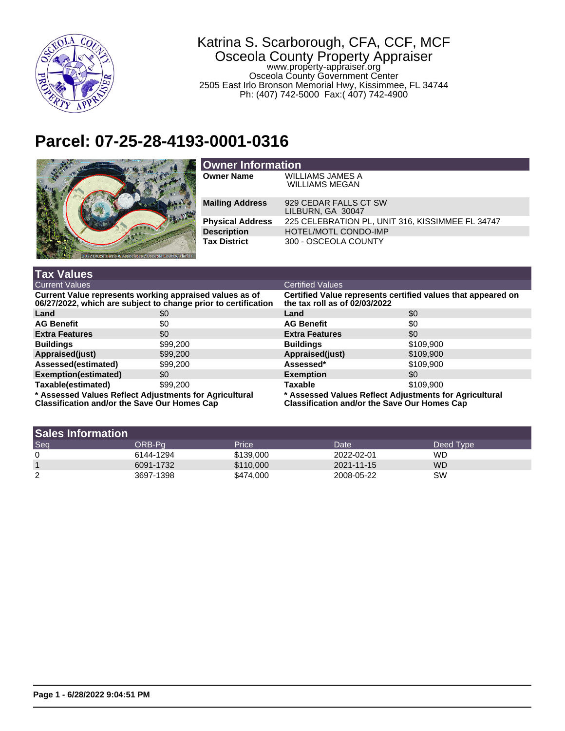

## Katrina S. Scarborough, CFA, CCF, MCF Osceola County Property Appraiser www.property-appraiser.org Osceola County Government Center 2505 East Irlo Bronson Memorial Hwy, Kissimmee, FL 34744 Ph: (407) 742-5000 Fax:( 407) 742-4900

## **Parcel: 07-25-28-4193-0001-0316**



| <b>Owner Information</b> |                                                  |  |  |
|--------------------------|--------------------------------------------------|--|--|
| <b>Owner Name</b>        | <b>WILLIAMS JAMES A</b><br><b>WILLIAMS MEGAN</b> |  |  |
| <b>Mailing Address</b>   | 929 CEDAR FALLS CT SW<br>LILBURN, GA 30047       |  |  |
| <b>Physical Address</b>  | 225 CELEBRATION PL, UNIT 316, KISSIMMEE FL 34747 |  |  |
| <b>Description</b>       | <b>HOTEL/MOTL CONDO-IMP</b>                      |  |  |
| <b>Tax District</b>      | 300 - OSCEOLA COUNTY                             |  |  |

| <b>Tax Values</b>                                                                                                         |          |                                                                                                               |           |  |
|---------------------------------------------------------------------------------------------------------------------------|----------|---------------------------------------------------------------------------------------------------------------|-----------|--|
| <b>Current Values</b>                                                                                                     |          | <b>Certified Values</b>                                                                                       |           |  |
| Current Value represents working appraised values as of<br>06/27/2022, which are subject to change prior to certification |          | Certified Value represents certified values that appeared on<br>the tax roll as of 02/03/2022                 |           |  |
| Land                                                                                                                      | \$0      | Land                                                                                                          | \$0       |  |
| <b>AG Benefit</b>                                                                                                         | \$0      | <b>AG Benefit</b>                                                                                             | \$0       |  |
| <b>Extra Features</b>                                                                                                     | \$0      | <b>Extra Features</b>                                                                                         | \$0       |  |
| <b>Buildings</b>                                                                                                          | \$99,200 | <b>Buildings</b>                                                                                              | \$109,900 |  |
| Appraised(just)                                                                                                           | \$99,200 | Appraised(just)                                                                                               | \$109,900 |  |
| Assessed(estimated)                                                                                                       | \$99,200 | Assessed*                                                                                                     | \$109.900 |  |
| Exemption(estimated)                                                                                                      | \$0      | <b>Exemption</b>                                                                                              | \$0       |  |
| Taxable(estimated)                                                                                                        | \$99,200 | <b>Taxable</b>                                                                                                | \$109.900 |  |
| * Assessed Values Reflect Adjustments for Agricultural<br><b>Classification and/or the Save Our Homes Cap</b>             |          | * Assessed Values Reflect Adjustments for Agricultural<br><b>Classification and/or the Save Our Homes Cap</b> |           |  |

| <b>Sales Information</b> |           |           |            |           |
|--------------------------|-----------|-----------|------------|-----------|
| Seq                      | ORB-Pa    | Price     | Date       | Deed Type |
| 0                        | 6144-1294 | \$139,000 | 2022-02-01 | WD        |
|                          | 6091-1732 | \$110,000 | 2021-11-15 | <b>WD</b> |
| 2                        | 3697-1398 | \$474,000 | 2008-05-22 | SW        |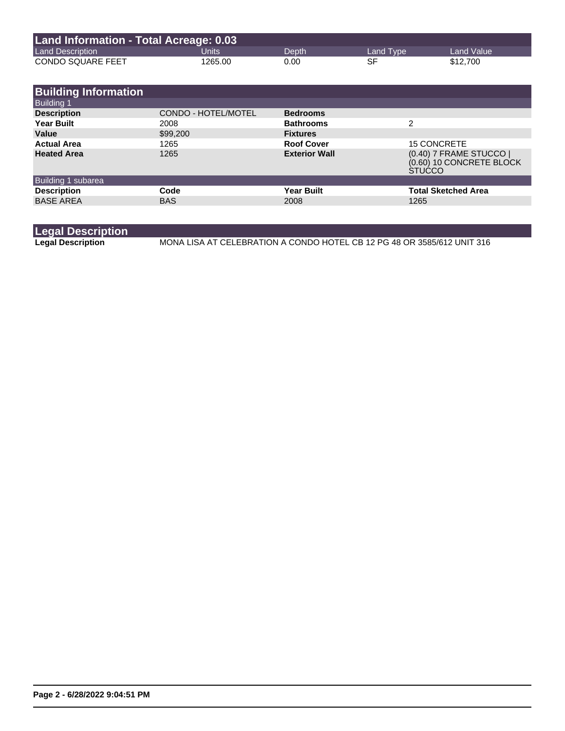| Land Information - Total Acreage: 0.03 |         |       |           |            |  |
|----------------------------------------|---------|-------|-----------|------------|--|
| <b>Land Description</b>                | Units'  | Depth | Land Type | Land Value |  |
| <b>CONDO SQUARE FEET</b>               | 1265.00 | 0.00  | SF        | \$12,700   |  |

| <b>Building Information</b> |                     |                      |                                                                      |
|-----------------------------|---------------------|----------------------|----------------------------------------------------------------------|
| <b>Building 1</b>           |                     |                      |                                                                      |
| <b>Description</b>          | CONDO - HOTEL/MOTEL | <b>Bedrooms</b>      |                                                                      |
| <b>Year Built</b>           | 2008                | <b>Bathrooms</b>     | 2                                                                    |
| Value                       | \$99,200            | <b>Fixtures</b>      |                                                                      |
| <b>Actual Area</b>          | 1265                | <b>Roof Cover</b>    | <b>15 CONCRETE</b>                                                   |
| <b>Heated Area</b>          | 1265                | <b>Exterior Wall</b> | (0.40) 7 FRAME STUCCO  <br>(0.60) 10 CONCRETE BLOCK<br><b>STUCCO</b> |
| Building 1 subarea          |                     |                      |                                                                      |
| <b>Description</b>          | Code                | <b>Year Built</b>    | <b>Total Sketched Area</b>                                           |
| <b>BASE AREA</b>            | <b>BAS</b>          | 2008                 | 1265                                                                 |
|                             |                     |                      |                                                                      |

**Legal Description**

**Legal Description** MONA LISA AT CELEBRATION A CONDO HOTEL CB 12 PG 48 OR 3585/612 UNIT 316